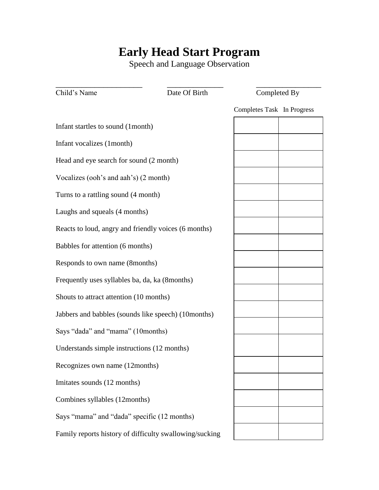## **Early Head Start Program**

Speech and Language Observation

| Child's Name                                            | Date Of Birth | Completed By               |  |
|---------------------------------------------------------|---------------|----------------------------|--|
|                                                         |               | Completes Task In Progress |  |
| Infant startles to sound (1month)                       |               |                            |  |
| Infant vocalizes (1month)                               |               |                            |  |
| Head and eye search for sound (2 month)                 |               |                            |  |
| Vocalizes (ooh's and aah's) (2 month)                   |               |                            |  |
| Turns to a rattling sound (4 month)                     |               |                            |  |
| Laughs and squeals (4 months)                           |               |                            |  |
| Reacts to loud, angry and friendly voices (6 months)    |               |                            |  |
| Babbles for attention (6 months)                        |               |                            |  |
| Responds to own name (8months)                          |               |                            |  |
| Frequently uses syllables ba, da, ka (8months)          |               |                            |  |
| Shouts to attract attention (10 months)                 |               |                            |  |
| Jabbers and babbles (sounds like speech) (10months)     |               |                            |  |
| Says "dada" and "mama" (10months)                       |               |                            |  |
| Understands simple instructions (12 months)             |               |                            |  |
| Recognizes own name (12months)                          |               |                            |  |
| Imitates sounds (12 months)                             |               |                            |  |
| Combines syllables (12months)                           |               |                            |  |
| Says "mama" and "dada" specific (12 months)             |               |                            |  |
| Family reports history of difficulty swallowing/sucking |               |                            |  |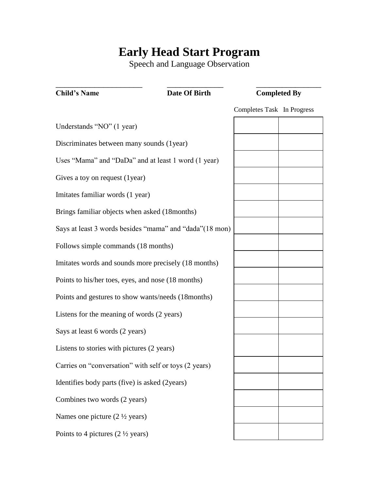## **Early Head Start Program**

Speech and Language Observation

| <b>Child's Name</b>                                      | Date Of Birth | <b>Completed By</b>        |  |
|----------------------------------------------------------|---------------|----------------------------|--|
|                                                          |               | Completes Task In Progress |  |
| Understands "NO" (1 year)                                |               |                            |  |
| Discriminates between many sounds (1year)                |               |                            |  |
| Uses "Mama" and "DaDa" and at least 1 word (1 year)      |               |                            |  |
| Gives a toy on request (1year)                           |               |                            |  |
| Imitates familiar words (1 year)                         |               |                            |  |
| Brings familiar objects when asked (18months)            |               |                            |  |
| Says at least 3 words besides "mama" and "dada" (18 mon) |               |                            |  |
| Follows simple commands (18 months)                      |               |                            |  |
| Imitates words and sounds more precisely (18 months)     |               |                            |  |
| Points to his/her toes, eyes, and nose (18 months)       |               |                            |  |
| Points and gestures to show wants/needs (18 months)      |               |                            |  |
| Listens for the meaning of words (2 years)               |               |                            |  |
| Says at least 6 words (2 years)                          |               |                            |  |
| Listens to stories with pictures (2 years)               |               |                            |  |
| Carries on "conversation" with self or toys (2 years)    |               |                            |  |
| Identifies body parts (five) is asked (2years)           |               |                            |  |
| Combines two words (2 years)                             |               |                            |  |
| Names one picture $(2 \frac{1}{2} \text{ years})$        |               |                            |  |
| Points to 4 pictures $(2 \frac{1}{2} \text{ years})$     |               |                            |  |